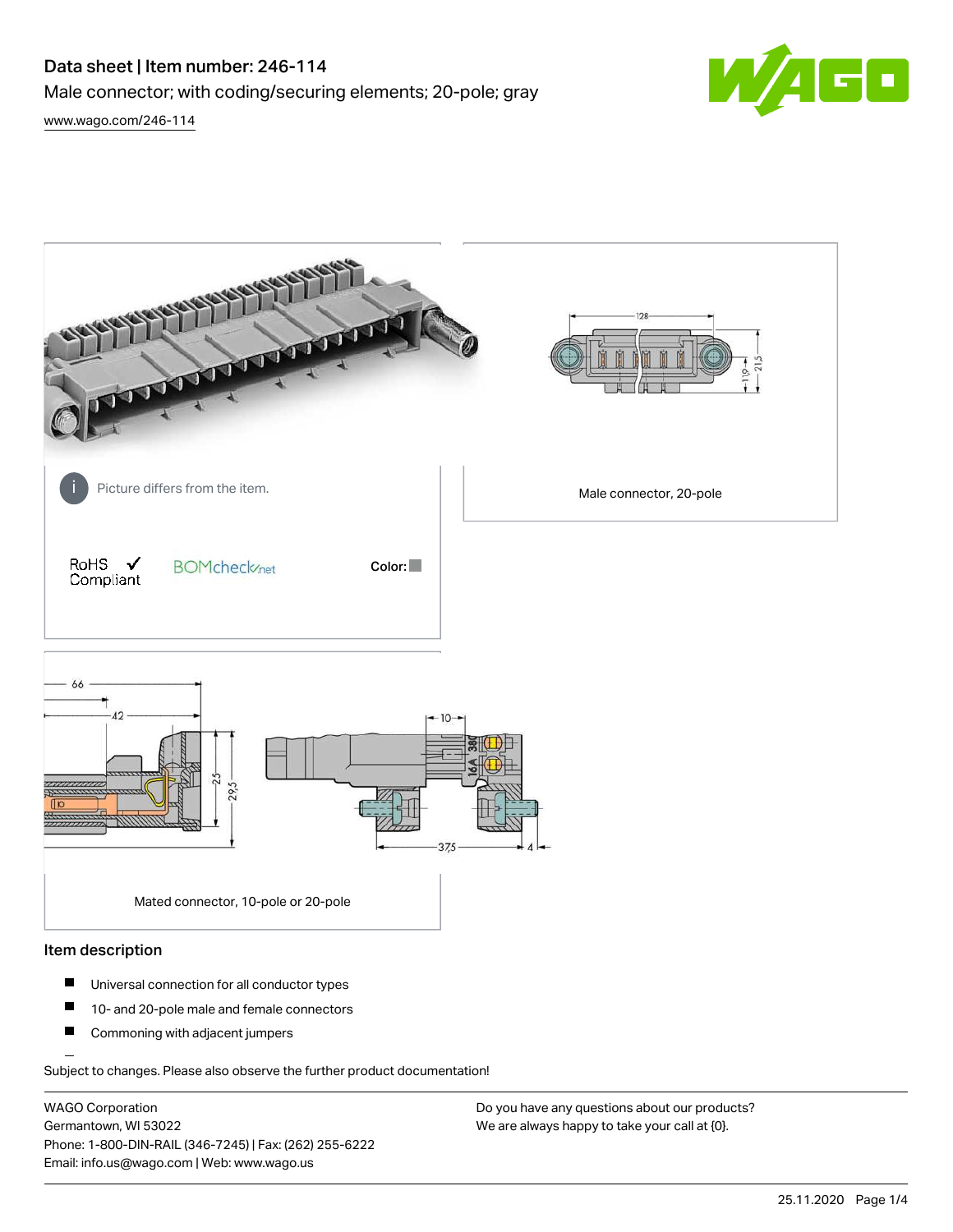# Data sheet | Item number: 246-114 Male connector; with coding/securing elements; 20-pole; gray [www.wago.com/246-114](http://www.wago.com/246-114)

 $\blacksquare$ 

John Barn Picture differs from the item. The interval connector, 20-pole in the item. RoHS  $\checkmark$ **BOMcheck**<sub>net</sub> Color: Compliant  $AA$ soc 37,5 Mated connector, 10-pole or 20-pole

#### Item description

- $\blacksquare$ Universal connection for all conductor types
- $\blacksquare$ 10- and 20-pole male and female connectors
- $\blacksquare$ Commoning with adjacent jumpers

Subject to changes. Please also observe the further product documentation!

WAGO Corporation Germantown, WI 53022 Phone: 1-800-DIN-RAIL (346-7245) | Fax: (262) 255-6222 Email: info.us@wago.com | Web: www.wago.us

Do you have any questions about our products? We are always happy to take your call at {0}.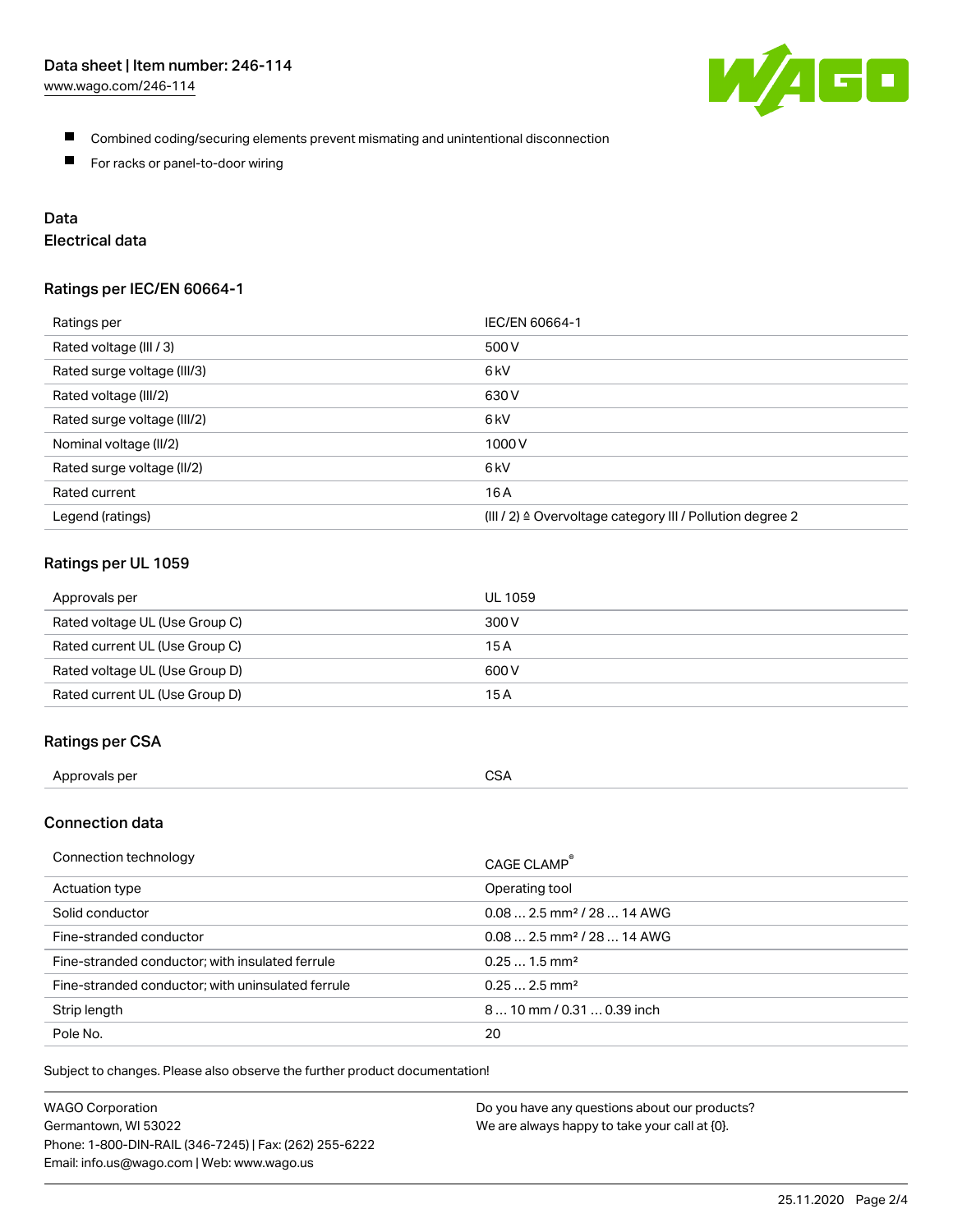

- Combined coding/securing elements prevent mismating and unintentional disconnection
- **For racks or panel-to-door wiring**

# Data

# Electrical data

#### Ratings per IEC/EN 60664-1

| Ratings per                 | IEC/EN 60664-1                                                       |
|-----------------------------|----------------------------------------------------------------------|
| Rated voltage (III / 3)     | 500 V                                                                |
| Rated surge voltage (III/3) | 6 <sub>kV</sub>                                                      |
| Rated voltage (III/2)       | 630 V                                                                |
| Rated surge voltage (III/2) | 6 <sub>kV</sub>                                                      |
| Nominal voltage (II/2)      | 1000V                                                                |
| Rated surge voltage (II/2)  | 6 <sub>kV</sub>                                                      |
| Rated current               | 16A                                                                  |
| Legend (ratings)            | (III / 2) $\triangleq$ Overvoltage category III / Pollution degree 2 |

# Ratings per UL 1059

| Approvals per                  | UL 1059 |
|--------------------------------|---------|
| Rated voltage UL (Use Group C) | 300 V   |
| Rated current UL (Use Group C) | 15 A    |
| Rated voltage UL (Use Group D) | 600 V   |
| Rated current UL (Use Group D) | 15 A    |

#### Ratings per CSA

| Approvals per | <b>CSA</b> |
|---------------|------------|
|               |            |

# Connection data

| Connection technology                             | CAGE CLAMP <sup>®</sup>                 |
|---------------------------------------------------|-----------------------------------------|
| Actuation type                                    | Operating tool                          |
| Solid conductor                                   | $0.08$ 2.5 mm <sup>2</sup> / 28  14 AWG |
| Fine-stranded conductor                           | $0.08$ 2.5 mm <sup>2</sup> / 28  14 AWG |
| Fine-stranded conductor; with insulated ferrule   | $0.251.5$ mm <sup>2</sup>               |
| Fine-stranded conductor; with uninsulated ferrule | $0.252.5$ mm <sup>2</sup>               |
| Strip length                                      | 810 mm / 0.31  0.39 inch                |
| Pole No.                                          | 20                                      |

Subject to changes. Please also observe the further product documentation!

| <b>WAGO Corporation</b>                                | Do you have any questions about our products? |
|--------------------------------------------------------|-----------------------------------------------|
| Germantown, WI 53022                                   | We are always happy to take your call at {0}. |
| Phone: 1-800-DIN-RAIL (346-7245)   Fax: (262) 255-6222 |                                               |
| Email: info.us@wago.com   Web: www.wago.us             |                                               |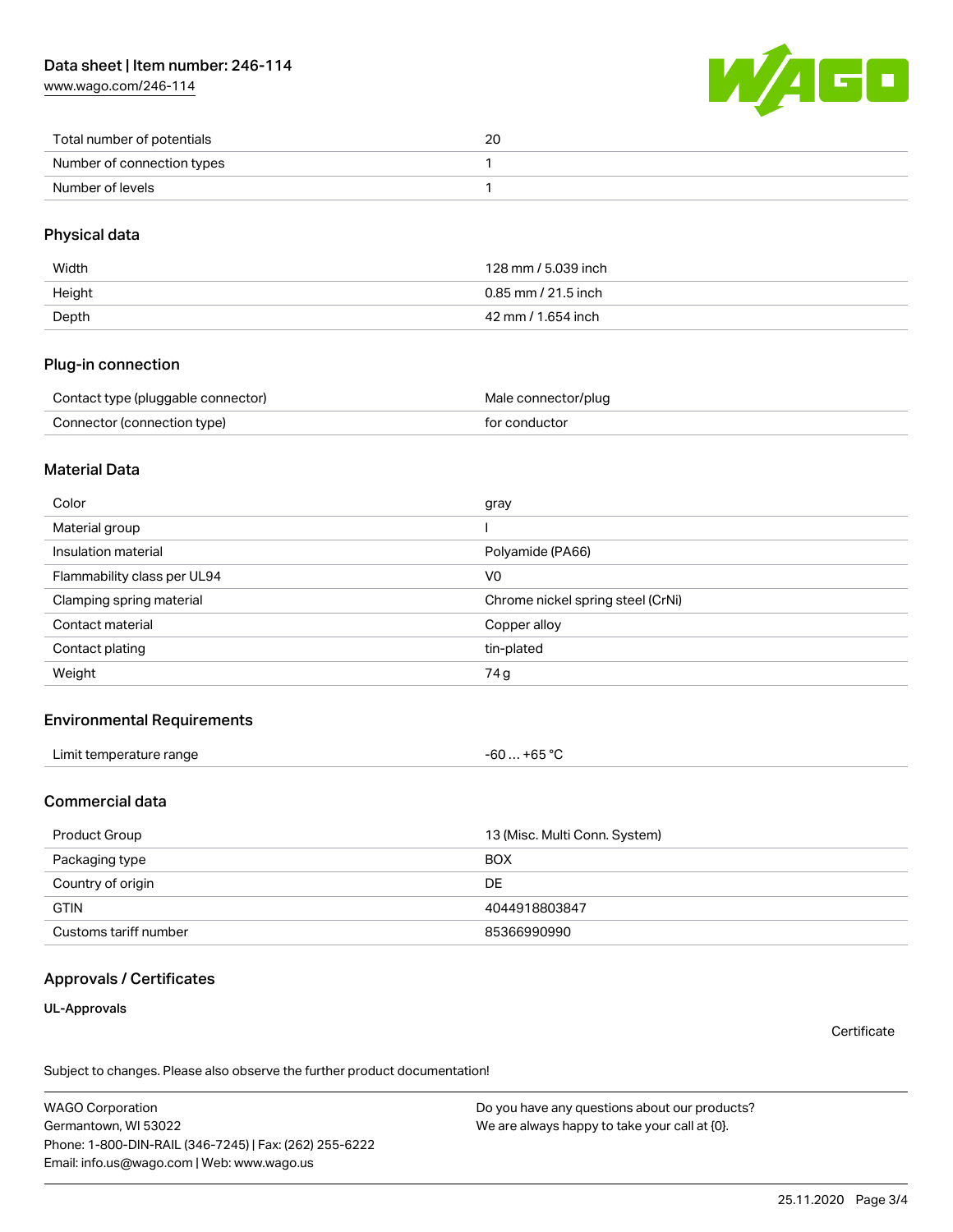[www.wago.com/246-114](http://www.wago.com/246-114)



| Total number of potentials | 20 |
|----------------------------|----|
| Number of connection types |    |
| Number of levels           |    |

# Physical data

| Width  | 128 mm / 5.039 inch   |
|--------|-----------------------|
| Height | $0.85$ mm / 21.5 inch |
| Depth  | 42 mm / 1.654 inch    |

#### Plug-in connection

| Contact type (pluggable connector) | Male connector/plug |
|------------------------------------|---------------------|
| Connector (connection type)        | for conductor       |

#### Material Data

| Color                       | gray                              |
|-----------------------------|-----------------------------------|
| Material group              |                                   |
| Insulation material         | Polyamide (PA66)                  |
| Flammability class per UL94 | V <sub>0</sub>                    |
| Clamping spring material    | Chrome nickel spring steel (CrNi) |
| Contact material            | Copper alloy                      |
| Contact plating             | tin-plated                        |
| Weight                      | 74 g                              |

# Environmental Requirements

| Limit temperature range<br>. | .+65 °C<br>$-60$ |
|------------------------------|------------------|
|------------------------------|------------------|

# Commercial data

| Product Group         | 13 (Misc. Multi Conn. System) |
|-----------------------|-------------------------------|
| Packaging type        | <b>BOX</b>                    |
| Country of origin     | DE                            |
| <b>GTIN</b>           | 4044918803847                 |
| Customs tariff number | 85366990990                   |

# Approvals / Certificates

UL-Approvals

**Certificate** 

Subject to changes. Please also observe the further product documentation!

WAGO Corporation Germantown, WI 53022 Phone: 1-800-DIN-RAIL (346-7245) | Fax: (262) 255-6222 Email: info.us@wago.com | Web: www.wago.us

Do you have any questions about our products? We are always happy to take your call at {0}.